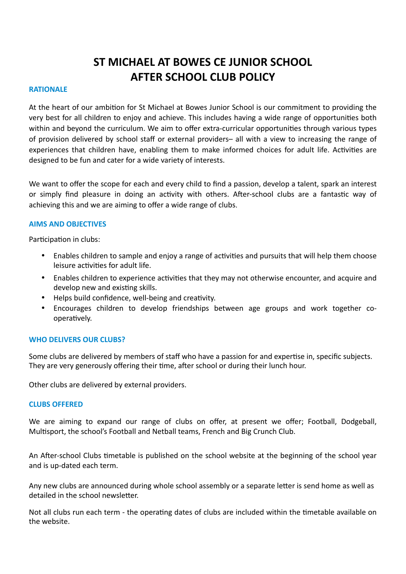# **ST MICHAEL AT BOWES CE JUNIOR SCHOOL AFTER SCHOOL CLUB POLICY**

## **RATIONALE**

At the heart of our ambition for St Michael at Bowes Junior School is our commitment to providing the very best for all children to enjoy and achieve. This includes having a wide range of opportunities both within and beyond the curriculum. We aim to offer extra-curricular opportunities through various types of provision delivered by school staff or external providers– all with a view to increasing the range of experiences that children have, enabling them to make informed choices for adult life. Activities are designed to be fun and cater for a wide variety of interests.

We want to offer the scope for each and every child to find a passion, develop a talent, spark an interest or simply find pleasure in doing an activity with others. After-school clubs are a fantastic way of achieving this and we are aiming to offer a wide range of clubs.

## **AIMS AND OBJECTIVES**

Participation in clubs:

- Enables children to sample and enjoy a range of activities and pursuits that will help them choose leisure activities for adult life.
- Enables children to experience activities that they may not otherwise encounter, and acquire and develop new and existing skills.
- Helps build confidence, well-being and creativity.
- Encourages children to develop friendships between age groups and work together cooperatively.

# **WHO DELIVERS OUR CLUBS?**

Some clubs are delivered by members of staff who have a passion for and expertise in, specific subjects. They are very generously offering their time, after school or during their lunch hour.

Other clubs are delivered by external providers.

#### **CLUBS OFFERED**

We are aiming to expand our range of clubs on offer, at present we offer; Football, Dodgeball, Multisport, the school's Football and Netball teams, French and Big Crunch Club.

An After-school Clubs timetable is published on the school website at the beginning of the school year and is up-dated each term.

Any new clubs are announced during whole school assembly or a separate letter is send home as well as detailed in the school newsletter.

Not all clubs run each term - the operating dates of clubs are included within the timetable available on the website.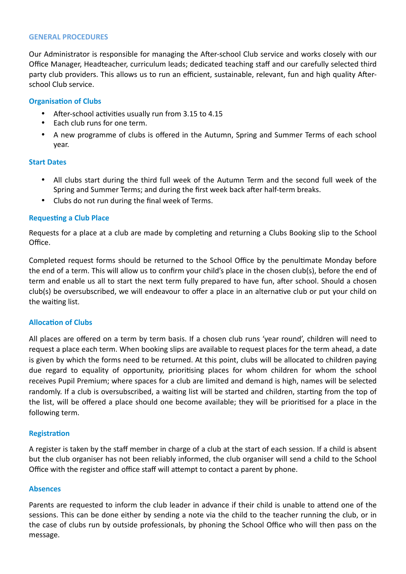#### **GENERAL PROCEDURES**

Our Administrator is responsible for managing the After-school Club service and works closely with our Office Manager, Headteacher, curriculum leads; dedicated teaching staff and our carefully selected third party club providers. This allows us to run an efficient, sustainable, relevant, fun and high quality Afterschool Club service.

# **Organisation of Clubs**

- After-school activities usually run from 3.15 to 4.15
- Each club runs for one term.
- A new programme of clubs is offered in the Autumn, Spring and Summer Terms of each school year.

## **Start Dates**

- All clubs start during the third full week of the Autumn Term and the second full week of the Spring and Summer Terms; and during the first week back after half-term breaks.
- Clubs do not run during the final week of Terms.

# **Requesting a Club Place**

Requests for a place at a club are made by completing and returning a Clubs Booking slip to the School Office.

Completed request forms should be returned to the School Office by the penultimate Monday before the end of a term. This will allow us to confirm your child's place in the chosen club(s), before the end of term and enable us all to start the next term fully prepared to have fun, after school. Should a chosen club(s) be oversubscribed, we will endeavour to offer a place in an alternative club or put your child on the waiting list.

# **Allocation of Clubs**

All places are offered on a term by term basis. If a chosen club runs 'year round', children will need to request a place each term. When booking slips are available to request places for the term ahead, a date is given by which the forms need to be returned. At this point, clubs will be allocated to children paying due regard to equality of opportunity, prioritising places for whom children for whom the school receives Pupil Premium; where spaces for a club are limited and demand is high, names will be selected randomly. If a club is oversubscribed, a waiting list will be started and children, starting from the top of the list, will be offered a place should one become available; they will be prioritised for a place in the following term.

#### **Registration**

A register is taken by the staff member in charge of a club at the start of each session. If a child is absent but the club organiser has not been reliably informed, the club organiser will send a child to the School Office with the register and office staff will attempt to contact a parent by phone.

#### **Absences**

Parents are requested to inform the club leader in advance if their child is unable to attend one of the sessions. This can be done either by sending a note via the child to the teacher running the club, or in the case of clubs run by outside professionals, by phoning the School Office who will then pass on the message.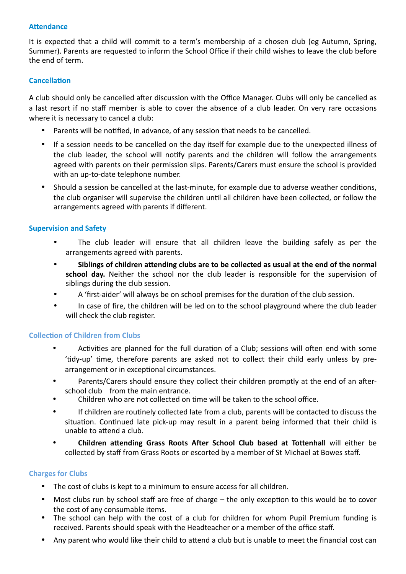# **Attendance**

It is expected that a child will commit to a term's membership of a chosen club (eg Autumn, Spring, Summer). Parents are requested to inform the School Office if their child wishes to leave the club before the end of term.

# **Cancellation**

A club should only be cancelled after discussion with the Office Manager. Clubs will only be cancelled as a last resort if no staff member is able to cover the absence of a club leader. On very rare occasions where it is necessary to cancel a club:

- Parents will be notified, in advance, of any session that needs to be cancelled.
- If a session needs to be cancelled on the day itself for example due to the unexpected illness of the club leader, the school will notify parents and the children will follow the arrangements agreed with parents on their permission slips. Parents/Carers must ensure the school is provided with an up-to-date telephone number.
- Should a session be cancelled at the last-minute, for example due to adverse weather conditions, the club organiser will supervise the children until all children have been collected, or follow the arrangements agreed with parents if different.

# **Supervision and Safety**

- The club leader will ensure that all children leave the building safely as per the arrangements agreed with parents.
- Siblings of children attending clubs are to be collected as usual at the end of the normal school day. Neither the school nor the club leader is responsible for the supervision of siblings during the club session.
- A 'first-aider' will always be on school premises for the duration of the club session.
- In case of fire, the children will be led on to the school playground where the club leader will check the club register.

# **Collection of Children from Clubs**

- Activities are planned for the full duration of a Club; sessions will often end with some 'tidy-up' time, therefore parents are asked not to collect their child early unless by prearrangement or in exceptional circumstances.
- Parents/Carers should ensure they collect their children promptly at the end of an afterschool club from the main entrance.
- Children who are not collected on time will be taken to the school office.
- If children are routinely collected late from a club, parents will be contacted to discuss the situation. Continued late pick-up may result in a parent being informed that their child is unable to attend a club.
- Children attending Grass Roots After School Club based at Tottenhall will either be collected by staff from Grass Roots or escorted by a member of St Michael at Bowes staff.

# **Charges for Clubs**

- The cost of clubs is kept to a minimum to ensure access for all children.
- Most clubs run by school staff are free of charge  $-$  the only exception to this would be to cover the cost of any consumable items.
- The school can help with the cost of a club for children for whom Pupil Premium funding is received. Parents should speak with the Headteacher or a member of the office staff.
- Any parent who would like their child to attend a club but is unable to meet the financial cost can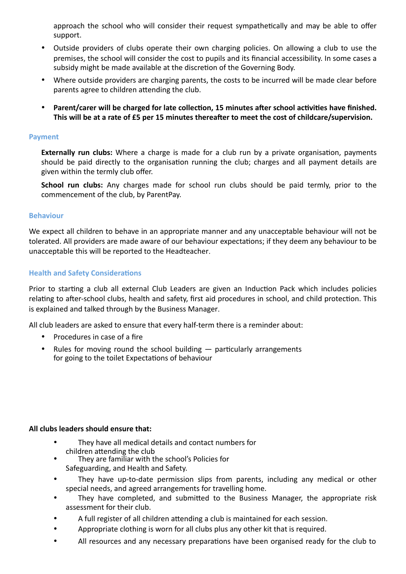approach the school who will consider their request sympathetically and may be able to offer support. 

- Outside providers of clubs operate their own charging policies. On allowing a club to use the premises, the school will consider the cost to pupils and its financial accessibility. In some cases a subsidy might be made available at the discretion of the Governing Body.
- Where outside providers are charging parents, the costs to be incurred will be made clear before parents agree to children attending the club.
- Parent/carer will be charged for late collection, 15 minutes after school activities have finished. This will be at a rate of £5 per 15 minutes thereafter to meet the cost of childcare/supervision.

# **Payment**

**Externally run clubs:** Where a charge is made for a club run by a private organisation, payments should be paid directly to the organisation running the club; charges and all payment details are given within the termly club offer.

**School run clubs:** Any charges made for school run clubs should be paid termly, prior to the commencement of the club, by ParentPay.

## **Behaviour**

We expect all children to behave in an appropriate manner and any unacceptable behaviour will not be tolerated. All providers are made aware of our behaviour expectations; if they deem any behaviour to be unacceptable this will be reported to the Headteacher.

# **Health and Safety Considerations**

Prior to starting a club all external Club Leaders are given an Induction Pack which includes policies relating to after-school clubs, health and safety, first aid procedures in school, and child protection. This is explained and talked through by the Business Manager.

All club leaders are asked to ensure that every half-term there is a reminder about:

- Procedures in case of a fire
- Rules for moving round the school building  $-$  particularly arrangements for going to the toilet Expectations of behaviour

#### All clubs leaders should ensure that:

- They have all medical details and contact numbers for children attending the club
- They are familiar with the school's Policies for Safeguarding, and Health and Safety.
- They have up-to-date permission slips from parents, including any medical or other special needs, and agreed arrangements for travelling home.
- They have completed, and submitted to the Business Manager, the appropriate risk assessment for their club.
- A full register of all children attending a club is maintained for each session.
- Appropriate clothing is worn for all clubs plus any other kit that is required.
- All resources and any necessary preparations have been organised ready for the club to